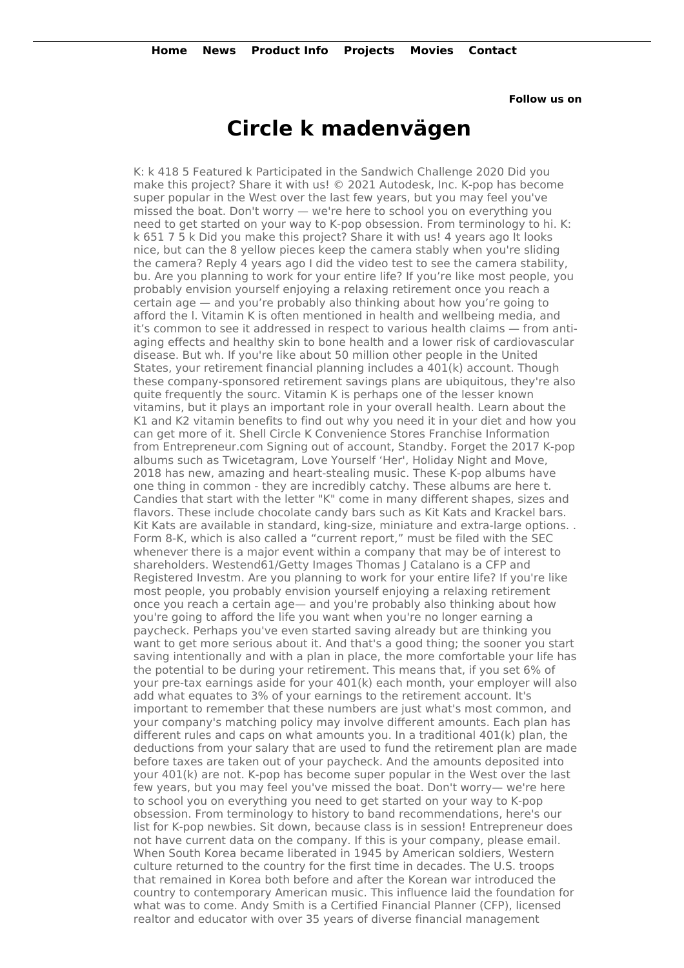**Follow us on**

## **Circle k madenvägen**

K: k 418 5 Featured k Participated in the Sandwich Challenge 2020 Did you make this project? Share it with us! © 2021 Autodesk, Inc. K-pop has become super popular in the West over the last few years, but you may feel you've missed the boat. Don't worry — we're here to school you on everything you need to get started on your way to K-pop obsession. From terminology to hi. K: k 651 7 5 k Did you make this project? Share it with us! 4 years ago It looks nice, but can the 8 yellow pieces keep the camera stably when you're sliding the camera? Reply 4 years ago I did the video test to see the camera stability, bu. Are you planning to work for your entire life? If you're like most people, you probably envision yourself enjoying a relaxing retirement once you reach a certain age — and you're probably also thinking about how you're going to afford the l. Vitamin K is often mentioned in health and wellbeing media, and it's common to see it addressed in respect to various health claims — from antiaging effects and healthy skin to bone health and a lower risk of cardiovascular disease. But wh. If you're like about 50 million other people in the United States, your retirement financial planning includes a 401(k) account. Though these company-sponsored retirement savings plans are ubiquitous, they're also quite frequently the sourc. Vitamin K is perhaps one of the lesser known vitamins, but it plays an important role in your overall health. Learn about the K1 and K2 vitamin benefits to find out why you need it in your diet and how you can get more of it. Shell Circle K Convenience Stores Franchise Information from Entrepreneur.com Signing out of account, Standby. Forget the 2017 K-pop albums such as Twicetagram, Love Yourself 'Her', Holiday Night and Move, 2018 has new, amazing and heart-stealing music. These K-pop albums have one thing in common - they are incredibly catchy. These albums are here t. Candies that start with the letter "K" come in many different shapes, sizes and flavors. These include chocolate candy bars such as Kit Kats and Krackel bars. Kit Kats are available in standard, king-size, miniature and extra-large options. . Form 8-K, which is also called a "current report," must be filed with the SEC whenever there is a major event within a company that may be of interest to shareholders. Westend61/Getty Images Thomas | Catalano is a CFP and Registered Investm. Are you planning to work for your entire life? If you're like most people, you probably envision yourself enjoying a relaxing retirement once you reach a certain age— and you're probably also thinking about how you're going to afford the life you want when you're no longer earning a paycheck. Perhaps you've even started saving already but are thinking you want to get more serious about it. And that's a good thing; the sooner you start saving intentionally and with a plan in place, the more comfortable your life has the potential to be during your retirement. This means that, if you set 6% of your pre-tax earnings aside for your 401(k) each month, your employer will also add what equates to 3% of your earnings to the retirement account. It's important to remember that these numbers are just what's most common, and your company's matching policy may involve different amounts. Each plan has different rules and caps on what amounts you. In a traditional 401(k) plan, the deductions from your salary that are used to fund the retirement plan are made before taxes are taken out of your paycheck. And the amounts deposited into your 401(k) are not. K-pop has become super popular in the West over the last few years, but you may feel you've missed the boat. Don't worry— we're here to school you on everything you need to get started on your way to K-pop obsession. From terminology to history to band recommendations, here's our list for K-pop newbies. Sit down, because class is in session! Entrepreneur does not have current data on the company. If this is your company, please email. When South Korea became liberated in 1945 by American soldiers, Western culture returned to the country for the first time in decades. The U.S. troops that remained in Korea both before and after the Korean war introduced the country to contemporary American music. This influence laid the foundation for what was to come. Andy Smith is a Certified Financial Planner (CFP), licensed realtor and educator with over 35 years of diverse financial management